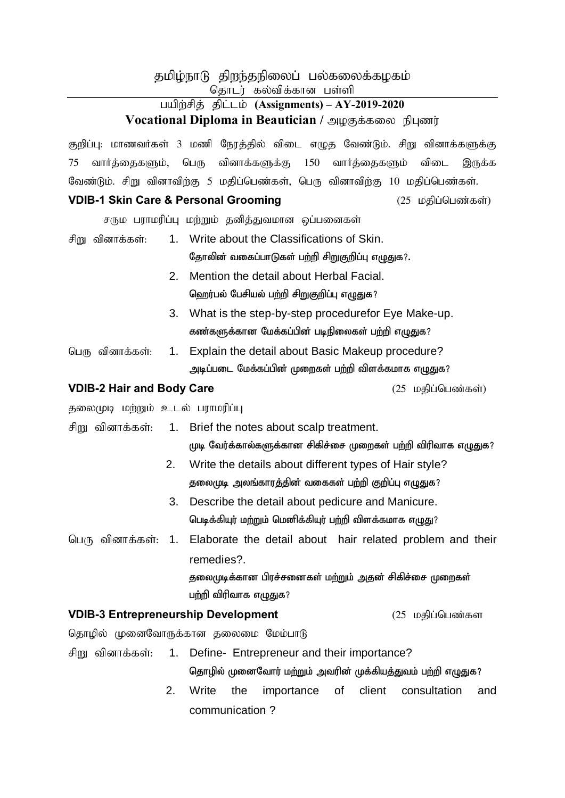# தமிழ்நாடு திறந்தநிலைப் பல்கலைக்கழகம்

தொடர் கல்விக்கான பள்ளி

## gapw;rpj ; jpl;lk; **(Assignments) – AY-2019-2020 Vocational Diploma in Beautician / அழகுக்கலை நிபுணர்**

குறிப்பு: மாணவர்கள் 3 மணி நேரத்தில் விடை எழுத வேண்டும். சிறு வினாக்களுக்கு 75 வார்த்தைகளும், பெரு வினாக்களுக்கு 150 வார்த்தைகளும் விடை இருக்க வேண்டும். சிறு வினாவிற்கு 5 மதிப்பெண்கள், பெரு வினாவிற்கு 10 மதிப்பெண்கள்.

#### 1 VDIB-1 Skin Care & Personal Grooming **(25 மதிப்பெண்கள்)**

 $\sigma$ ரும பராமரிப்பு மற்றும் தனித்துவமான ஒப்பனைகள்

- சிறு வினாக்கள்: 1. Write about the Classifications of Skin. தோலின் வகைப்பாடுகள் பற்றி சிறுகுறிப்பு எழுதுக?.
	- 2. Mention the detail about Herbal Facial. ஹெர்பல் பேசியல் பற்றி சிறுகுறிப்பு எழுதுக?
	- 3. What is the step-by-step procedurefor Eye Make-up. கண்களுக்கான மேக்கப்பின் படிநிலைகள் பற்றி எழுதுக?
- பெரு வினாக்கள்: 1. Explain the detail about Basic Makeup procedure? அடிப்படை மேக்கப்பின் முறைகள் பற்றி விளக்கமாக எழுதுக?

## 1000 VDIB-2 Hair and Body Care **Care and Exercise (25 மதிப்பெண்கள்**)

தலைமுடி மற்றும் உடல் பராமரிப்பு

- சிறு வினாக்கள்: 1. Brief the notes about scalp treatment. முடி வேர்க்கால்களுக்கான சிகிச்சை முறைகள் பற்றி விரிவாக எழுதுக?
	- 2. Write the details about different types of Hair style? தலைமுடி அலங்காரத்தின் வகைகள் பற்றி குறிப்பு எழுதுக?
	- 3. Describe the detail about pedicure and Manicure. பெடிக்கியுர் மற்றும் மெனிக்கியுர் பற்றி விளக்கமாக எழுது?
- பெரு வினாக்கள்: 1. Elaborate the detail about hair related problem and their remedies?.

கலைமுடிக்கான பிரச்சனைகள் மற்றும் அகன் சிகிச்சை முறைகள் பற்றி விரிவாக எழுதுக?

## 1000 VDIB-3 Entrepreneurship Development (25 மதிப்பெண்கள

தொழில் முனைவோருக்கான தலைமை மேம்பாடு

- சிறு வினாக்கள்: 1. Define- Entrepreneur and their importance? தொழில் முனைவோர் மற்றும் அவரின் முக்கியத்துவம் பற்றி எழுதுக?
	- 2. Write the importance of client consultation and communication ?